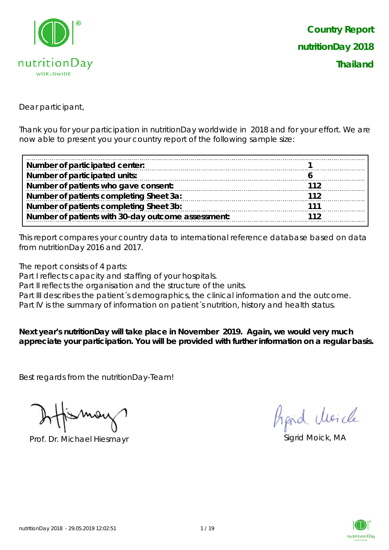

Dear participant,

Thank you for your participation in nutritionDay worldwide in 2018 and for your effort. We are now able to present you your country report of the following sample size:

| Number of participated center:                     |     |
|----------------------------------------------------|-----|
| Number of participated units:                      |     |
| Number of patients who gave consent:               | 112 |
| Number of patients completing Sheet 3a:            | 112 |
| Number of patients completing Sheet 3b:            | 111 |
| Number of patients with 30-day outcome assessment: |     |

This report compares your country data to international reference database based on data from nutritionDay 2016 and 2017.

The report consists of 4 parts:

Part I reflects capacity and staffing of your hospitals.

Part II reflects the organisation and the structure of the units.

Part III describes the patient's demographics, the clinical information and the outcome.

Part IV is the summary of information on patient's nutrition, history and health status.

**Next year's nutritionDay will take place in November 2019. Again, we would very much appreciate your participation. You will be provided with further information on a regular basis.**

Best regards from the nutritionDay-Team!

Prof. Dr. Michael Hiesmayr Sigrid Moick, MA

hard cluricle

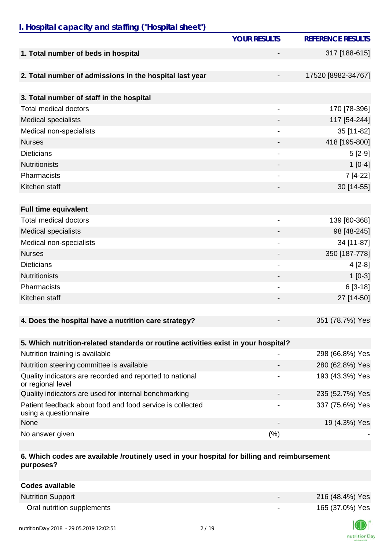### *I. Hospital capacity and staffing ("Hospital sheet")*

|                                                                                    | <b>YOUR RESULTS</b>          | <b>REFERENCE RESULTS</b> |
|------------------------------------------------------------------------------------|------------------------------|--------------------------|
| 1. Total number of beds in hospital                                                |                              | 317 [188-615]            |
| 2. Total number of admissions in the hospital last year                            |                              | 17520 [8982-34767]       |
| 3. Total number of staff in the hospital                                           |                              |                          |
| <b>Total medical doctors</b>                                                       | $\qquad \qquad \blacksquare$ | 170 [78-396]             |
| <b>Medical specialists</b>                                                         |                              | 117 [54-244]             |
| Medical non-specialists                                                            |                              | 35 [11-82]               |
| <b>Nurses</b>                                                                      |                              | 418 [195-800]            |
| <b>Dieticians</b>                                                                  |                              | $5[2-9]$                 |
| <b>Nutritionists</b>                                                               |                              | $1[0-4]$                 |
| Pharmacists                                                                        | $\overline{\phantom{a}}$     | 7 [4-22]                 |
| Kitchen staff                                                                      |                              | 30 [14-55]               |
|                                                                                    |                              |                          |
| <b>Full time equivalent</b>                                                        |                              |                          |
| <b>Total medical doctors</b>                                                       |                              | 139 [60-368]             |
|                                                                                    |                              |                          |
| <b>Medical specialists</b>                                                         |                              | 98 [48-245]              |
| Medical non-specialists                                                            | $\overline{\phantom{a}}$     | 34 [11-87]               |
| <b>Nurses</b>                                                                      |                              | 350 [187-778]            |
| <b>Dieticians</b>                                                                  |                              | $4[2-8]$                 |
| <b>Nutritionists</b>                                                               |                              | $1 [0-3]$                |
| Pharmacists                                                                        |                              | $6[3-18]$                |
| Kitchen staff                                                                      |                              | 27 [14-50]               |
|                                                                                    |                              |                          |
| 4. Does the hospital have a nutrition care strategy?                               |                              | 351 (78.7%) Yes          |
|                                                                                    |                              |                          |
| 5. Which nutrition-related standards or routine activities exist in your hospital? |                              |                          |
| Nutrition training is available                                                    |                              | 298 (66.8%) Yes          |
| Nutrition steering committee is available                                          |                              | 280 (62.8%) Yes          |
| Quality indicators are recorded and reported to national<br>or regional level      |                              | 193 (43.3%) Yes          |
| Quality indicators are used for internal benchmarking                              |                              | 235 (52.7%) Yes          |
| Patient feedback about food and food service is collected<br>using a questionnaire |                              | 337 (75.6%) Yes          |
| None                                                                               |                              | 19 (4.3%) Yes            |
| No answer given                                                                    | (%)                          |                          |

#### **6. Which codes are available /routinely used in your hospital for billing and reimbursement purposes?**

| Codes available            |                          |                 |
|----------------------------|--------------------------|-----------------|
| <b>Nutrition Support</b>   | $\overline{\phantom{0}}$ | 216 (48.4%) Yes |
| Oral nutrition supplements | $\overline{\phantom{0}}$ | 165 (37.0%) Yes |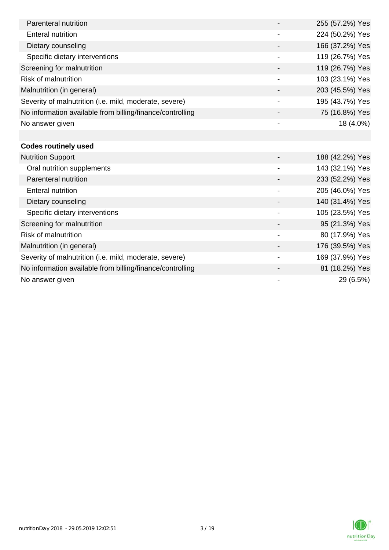| Parenteral nutrition                                      |                          | 255 (57.2%) Yes |
|-----------------------------------------------------------|--------------------------|-----------------|
| Enteral nutrition                                         |                          | 224 (50.2%) Yes |
| Dietary counseling                                        |                          | 166 (37.2%) Yes |
| Specific dietary interventions                            | $\overline{\phantom{a}}$ | 119 (26.7%) Yes |
| Screening for malnutrition                                |                          | 119 (26.7%) Yes |
| <b>Risk of malnutrition</b>                               |                          | 103 (23.1%) Yes |
| Malnutrition (in general)                                 |                          | 203 (45.5%) Yes |
| Severity of malnutrition (i.e. mild, moderate, severe)    |                          | 195 (43.7%) Yes |
| No information available from billing/finance/controlling |                          | 75 (16.8%) Yes  |
| No answer given                                           | $\overline{\phantom{a}}$ | 18 (4.0%)       |
|                                                           |                          |                 |
| <b>Codes routinely used</b>                               |                          |                 |
| <b>Nutrition Support</b>                                  |                          | 188 (42.2%) Yes |
| Oral nutrition supplements                                |                          | 143 (32.1%) Yes |
| Parenteral nutrition                                      |                          | 233 (52.2%) Yes |
| <b>Enteral nutrition</b>                                  |                          | 205 (46.0%) Yes |

Dietary counseling  $140 (31.4%)$  Yes Specific dietary interventions 105 (23.5%) Yes Screening for malnutrition 80 and 100 and 100 and 100 and 100 and 100 and 100 and 100 and 100 and 100 and 100 and 100 and 100 and 100 and 100 and 100 and 100 and 100 and 100 and 100 and 100 and 100 and 100 and 100 and 100 Risk of malnutrition and the set of malnutrition of the set of the set of the set of the set of the set of the set of the set of the set of the set of the set of the set of the set of the set of the set of the set of the s Malnutrition (in general) 176 (39.5%) Yes Severity of malnutrition (i.e. mild, moderate, severe) 169 (37.9%) Yes No information available from billing/finance/controlling and and the state of the 81 (18.2%) Yes No answer given  $29(6.5%)$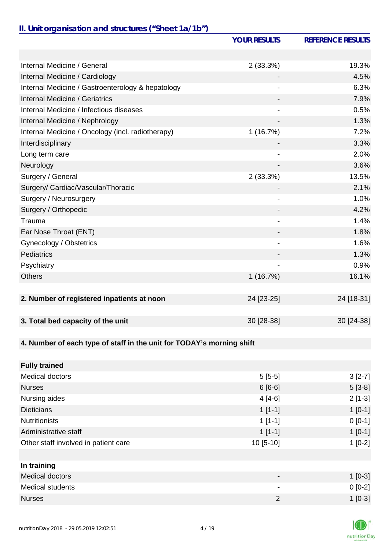# *II. Unit organisation and structures ("Sheet 1a/1b")*

|                                                                       | <b>YOUR RESULTS</b>      | <b>REFERENCE RESULTS</b> |
|-----------------------------------------------------------------------|--------------------------|--------------------------|
|                                                                       |                          |                          |
| Internal Medicine / General                                           | 2(33.3%)                 | 19.3%                    |
| Internal Medicine / Cardiology                                        |                          | 4.5%                     |
| Internal Medicine / Gastroenterology & hepatology                     |                          | 6.3%                     |
| Internal Medicine / Geriatrics                                        |                          | 7.9%                     |
| Internal Medicine / Infectious diseases                               |                          | 0.5%                     |
| Internal Medicine / Nephrology                                        | $\overline{\phantom{0}}$ | 1.3%                     |
| Internal Medicine / Oncology (incl. radiotherapy)                     | 1(16.7%)                 | 7.2%                     |
| Interdisciplinary                                                     |                          | 3.3%                     |
| Long term care                                                        |                          | 2.0%                     |
| Neurology                                                             |                          | 3.6%                     |
| Surgery / General                                                     | 2(33.3%)                 | 13.5%                    |
| Surgery/ Cardiac/Vascular/Thoracic                                    |                          | 2.1%                     |
| Surgery / Neurosurgery                                                |                          | 1.0%                     |
| Surgery / Orthopedic                                                  |                          | 4.2%                     |
| Trauma                                                                |                          | 1.4%                     |
| Ear Nose Throat (ENT)                                                 |                          | 1.8%                     |
| Gynecology / Obstetrics                                               | $\overline{\phantom{a}}$ | 1.6%                     |
| Pediatrics                                                            |                          | 1.3%                     |
| Psychiatry                                                            |                          | 0.9%                     |
| <b>Others</b>                                                         | 1(16.7%)                 | 16.1%                    |
|                                                                       |                          |                          |
| 2. Number of registered inpatients at noon                            | 24 [23-25]               | 24 [18-31]               |
|                                                                       |                          |                          |
| 3. Total bed capacity of the unit                                     | 30 [28-38]               | 30 [24-38]               |
|                                                                       |                          |                          |
| 4. Number of each type of staff in the unit for TODAY's morning shift |                          |                          |
|                                                                       |                          |                          |
| <b>Fully trained</b>                                                  |                          |                          |
| <b>Medical doctors</b>                                                | $5[5-5]$                 | $3[2-7]$                 |
| <b>Nurses</b>                                                         | $6[6-6]$                 | $5[3-8]$                 |
| Nursing aides                                                         | $4[4-6]$                 | $2[1-3]$                 |
| <b>Dieticians</b>                                                     | $1[1-1]$                 | $1[0-1]$                 |
| <b>Nutritionists</b>                                                  | $1[1-1]$                 | $0 [0-1]$                |
| Administrative staff                                                  | $1[1-1]$                 | $1[0-1]$                 |
| Other staff involved in patient care                                  | 10 [5-10]                | $1[0-2]$                 |
|                                                                       |                          |                          |
| In training                                                           |                          |                          |
| <b>Medical doctors</b>                                                |                          | $1$ [0-3]                |
| <b>Medical students</b>                                               |                          | $0 [0-2]$                |
| <b>Nurses</b>                                                         | $\overline{2}$           | $1[0-3]$                 |

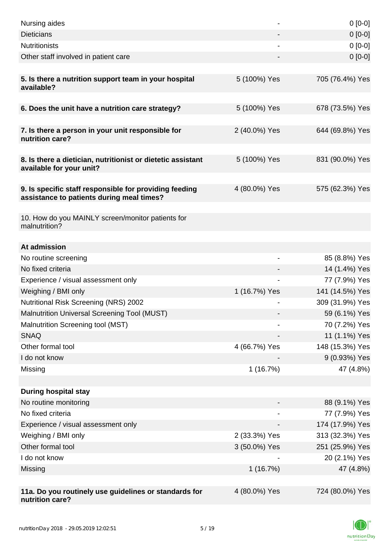| Nursing aides                                                                                       |               | $0[0-0]$        |
|-----------------------------------------------------------------------------------------------------|---------------|-----------------|
| <b>Dieticians</b>                                                                                   |               | $0 [0-0]$       |
| <b>Nutritionists</b>                                                                                |               | $0[0-0]$        |
| Other staff involved in patient care                                                                |               | $0[0-0]$        |
| 5. Is there a nutrition support team in your hospital<br>available?                                 | 5 (100%) Yes  | 705 (76.4%) Yes |
| 6. Does the unit have a nutrition care strategy?                                                    | 5 (100%) Yes  | 678 (73.5%) Yes |
| 7. Is there a person in your unit responsible for<br>nutrition care?                                | 2 (40.0%) Yes | 644 (69.8%) Yes |
| 8. Is there a dietician, nutritionist or dietetic assistant<br>available for your unit?             | 5 (100%) Yes  | 831 (90.0%) Yes |
| 9. Is specific staff responsible for providing feeding<br>assistance to patients during meal times? | 4 (80.0%) Yes | 575 (62.3%) Yes |
| 10. How do you MAINLY screen/monitor patients for<br>malnutrition?                                  |               |                 |
| At admission                                                                                        |               |                 |
| No routine screening                                                                                |               | 85 (8.8%) Yes   |
| No fixed criteria                                                                                   |               | 14 (1.4%) Yes   |
| Experience / visual assessment only                                                                 |               | 77 (7.9%) Yes   |
| Weighing / BMI only                                                                                 | 1 (16.7%) Yes | 141 (14.5%) Yes |
| <b>Nutritional Risk Screening (NRS) 2002</b>                                                        |               | 309 (31.9%) Yes |
| <b>Malnutrition Universal Screening Tool (MUST)</b>                                                 |               | 59 (6.1%) Yes   |
| Malnutrition Screening tool (MST)                                                                   |               | 70 (7.2%) Yes   |
| <b>SNAQ</b>                                                                                         |               | 11 (1.1%) Yes   |
| Other formal tool                                                                                   | 4 (66.7%) Yes | 148 (15.3%) Yes |
| I do not know                                                                                       |               | 9 (0.93%) Yes   |
| Missing                                                                                             | 1(16.7%)      | 47 (4.8%)       |
|                                                                                                     |               |                 |
| <b>During hospital stay</b>                                                                         |               |                 |
| No routine monitoring                                                                               |               | 88 (9.1%) Yes   |
| No fixed criteria                                                                                   |               | 77 (7.9%) Yes   |
| Experience / visual assessment only                                                                 |               | 174 (17.9%) Yes |
| Weighing / BMI only                                                                                 | 2 (33.3%) Yes | 313 (32.3%) Yes |
| Other formal tool                                                                                   | 3 (50.0%) Yes | 251 (25.9%) Yes |
| I do not know                                                                                       |               | 20 (2.1%) Yes   |
| Missing                                                                                             | 1(16.7%)      | 47 (4.8%)       |
| 11a. Do you routinely use guidelines or standards for<br>nutrition care?                            | 4 (80.0%) Yes | 724 (80.0%) Yes |

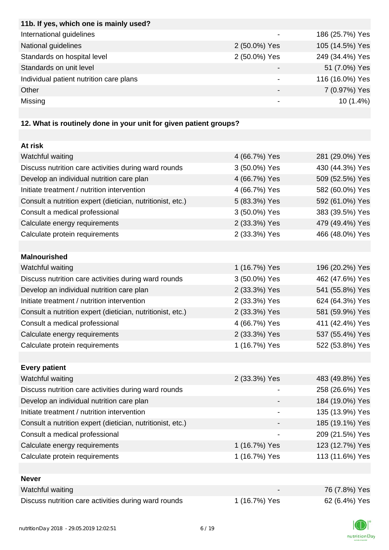| 11b. If yes, which one is mainly used?  |               |                 |
|-----------------------------------------|---------------|-----------------|
| International guidelines                |               | 186 (25.7%) Yes |
| National guidelines                     | 2 (50.0%) Yes | 105 (14.5%) Yes |
| Standards on hospital level             | 2 (50.0%) Yes | 249 (34.4%) Yes |
| Standards on unit level                 |               | 51 (7.0%) Yes   |
| Individual patient nutrition care plans |               | 116 (16.0%) Yes |
| Other                                   |               | 7 (0.97%) Yes   |
| Missing                                 |               | $10(1.4\%)$     |
|                                         |               |                 |

# **12. What is routinely done in your unit for given patient groups?**

| At risk                                                    |               |                 |
|------------------------------------------------------------|---------------|-----------------|
| Watchful waiting                                           | 4 (66.7%) Yes | 281 (29.0%) Yes |
| Discuss nutrition care activities during ward rounds       | 3 (50.0%) Yes | 430 (44.3%) Yes |
| Develop an individual nutrition care plan                  | 4 (66.7%) Yes | 509 (52.5%) Yes |
| Initiate treatment / nutrition intervention                | 4 (66.7%) Yes | 582 (60.0%) Yes |
| Consult a nutrition expert (dietician, nutritionist, etc.) | 5 (83.3%) Yes | 592 (61.0%) Yes |
| Consult a medical professional                             | 3 (50.0%) Yes | 383 (39.5%) Yes |
| Calculate energy requirements                              | 2 (33.3%) Yes | 479 (49.4%) Yes |
| Calculate protein requirements                             | 2 (33.3%) Yes | 466 (48.0%) Yes |
|                                                            |               |                 |
| <b>Malnourished</b>                                        |               |                 |
| Watchful waiting                                           | 1 (16.7%) Yes | 196 (20.2%) Yes |
| Discuss nutrition care activities during ward rounds       | 3 (50.0%) Yes | 462 (47.6%) Yes |
| Develop an individual nutrition care plan                  | 2 (33.3%) Yes | 541 (55.8%) Yes |
| Initiate treatment / nutrition intervention                | 2 (33.3%) Yes | 624 (64.3%) Yes |
| Consult a nutrition expert (dietician, nutritionist, etc.) | 2 (33.3%) Yes | 581 (59.9%) Yes |
| Consult a medical professional                             | 4 (66.7%) Yes | 411 (42.4%) Yes |
| Calculate energy requirements                              | 2 (33.3%) Yes | 537 (55.4%) Yes |
| Calculate protein requirements                             | 1 (16.7%) Yes | 522 (53.8%) Yes |
|                                                            |               |                 |
| <b>Every patient</b>                                       |               |                 |
| Watchful waiting                                           | 2 (33.3%) Yes | 483 (49.8%) Yes |
| Discuss nutrition care activities during ward rounds       |               | 258 (26.6%) Yes |
| Develop an individual nutrition care plan                  |               | 184 (19.0%) Yes |
| Initiate treatment / nutrition intervention                |               | 135 (13.9%) Yes |
| Consult a nutrition expert (dietician, nutritionist, etc.) |               | 185 (19.1%) Yes |
| Consult a medical professional                             |               | 209 (21.5%) Yes |
| Calculate energy requirements                              | 1 (16.7%) Yes | 123 (12.7%) Yes |
| Calculate protein requirements                             | 1 (16.7%) Yes | 113 (11.6%) Yes |
|                                                            |               |                 |
| <b>Never</b>                                               |               |                 |
| Watchful waiting                                           |               | 76 (7.8%) Yes   |
| Discuss nutrition care activities during ward rounds       | 1 (16.7%) Yes | 62 (6.4%) Yes   |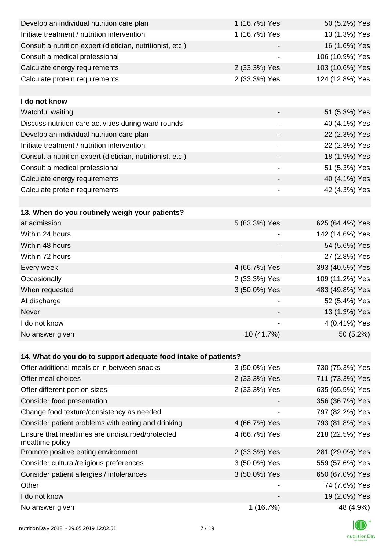| Develop an individual nutrition care plan                          | 1 (16.7%) Yes            | 50 (5.2%) Yes   |
|--------------------------------------------------------------------|--------------------------|-----------------|
| Initiate treatment / nutrition intervention                        | 1 (16.7%) Yes            | 13 (1.3%) Yes   |
| Consult a nutrition expert (dietician, nutritionist, etc.)         |                          | 16 (1.6%) Yes   |
| Consult a medical professional                                     |                          | 106 (10.9%) Yes |
| Calculate energy requirements                                      | 2 (33.3%) Yes            | 103 (10.6%) Yes |
| Calculate protein requirements                                     | 2 (33.3%) Yes            | 124 (12.8%) Yes |
|                                                                    |                          |                 |
| I do not know                                                      |                          |                 |
| Watchful waiting                                                   |                          | 51 (5.3%) Yes   |
| Discuss nutrition care activities during ward rounds               | $\overline{\phantom{a}}$ | 40 (4.1%) Yes   |
| Develop an individual nutrition care plan                          |                          | 22 (2.3%) Yes   |
| Initiate treatment / nutrition intervention                        | $\overline{\phantom{a}}$ | 22 (2.3%) Yes   |
| Consult a nutrition expert (dietician, nutritionist, etc.)         |                          | 18 (1.9%) Yes   |
| Consult a medical professional                                     |                          | 51 (5.3%) Yes   |
| Calculate energy requirements                                      |                          | 40 (4.1%) Yes   |
| Calculate protein requirements                                     | -                        | 42 (4.3%) Yes   |
|                                                                    |                          |                 |
| 13. When do you routinely weigh your patients?                     |                          |                 |
| at admission                                                       | 5 (83.3%) Yes            | 625 (64.4%) Yes |
| Within 24 hours                                                    |                          | 142 (14.6%) Yes |
| Within 48 hours                                                    |                          | 54 (5.6%) Yes   |
| Within 72 hours                                                    | $\overline{\phantom{a}}$ | 27 (2.8%) Yes   |
| Every week                                                         | 4 (66.7%) Yes            | 393 (40.5%) Yes |
| Occasionally                                                       | 2 (33.3%) Yes            | 109 (11.2%) Yes |
| When requested                                                     | 3 (50.0%) Yes            | 483 (49.8%) Yes |
| At discharge                                                       |                          | 52 (5.4%) Yes   |
| Never                                                              |                          | 13 (1.3%) Yes   |
| I do not know                                                      |                          | 4 (0.41%) Yes   |
| No answer given                                                    | 10 (41.7%)               | 50 (5.2%)       |
|                                                                    |                          |                 |
| 14. What do you do to support adequate food intake of patients?    |                          |                 |
| Offer additional meals or in between snacks                        | 3 (50.0%) Yes            | 730 (75.3%) Yes |
| Offer meal choices                                                 | 2 (33.3%) Yes            | 711 (73.3%) Yes |
| Offer different portion sizes                                      | 2 (33.3%) Yes            | 635 (65.5%) Yes |
| Consider food presentation                                         |                          | 356 (36.7%) Yes |
| Change food texture/consistency as needed                          |                          | 797 (82.2%) Yes |
| Consider patient problems with eating and drinking                 | 4 (66.7%) Yes            | 793 (81.8%) Yes |
| Ensure that mealtimes are undisturbed/protected<br>mealtime policy | 4 (66.7%) Yes            | 218 (22.5%) Yes |
| Promote positive eating environment                                | 2 (33.3%) Yes            | 281 (29.0%) Yes |
| Consider cultural/religious preferences                            | 3 (50.0%) Yes            | 559 (57.6%) Yes |
| Consider patient allergies / intolerances                          | 3 (50.0%) Yes            | 650 (67.0%) Yes |
| Other                                                              |                          | 74 (7.6%) Yes   |
| I do not know                                                      |                          | 19 (2.0%) Yes   |
| No answer given                                                    | 1(16.7%)                 | 48 (4.9%)       |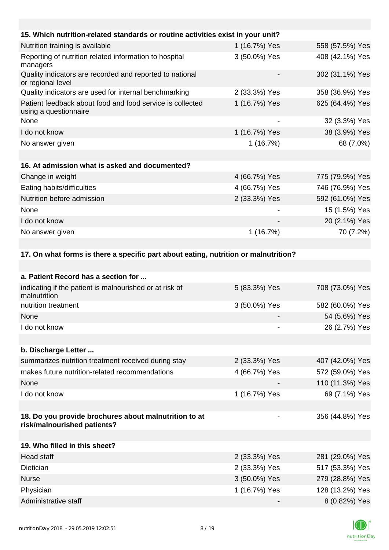| 15. Which nutrition-related standards or routine activities exist in your unit?     |               |                 |
|-------------------------------------------------------------------------------------|---------------|-----------------|
| Nutrition training is available                                                     | 1 (16.7%) Yes | 558 (57.5%) Yes |
| Reporting of nutrition related information to hospital<br>managers                  | 3 (50.0%) Yes | 408 (42.1%) Yes |
| Quality indicators are recorded and reported to national<br>or regional level       |               | 302 (31.1%) Yes |
| Quality indicators are used for internal benchmarking                               | 2 (33.3%) Yes | 358 (36.9%) Yes |
| Patient feedback about food and food service is collected<br>using a questionnaire  | 1 (16.7%) Yes | 625 (64.4%) Yes |
| None                                                                                |               | 32 (3.3%) Yes   |
| I do not know                                                                       | 1 (16.7%) Yes | 38 (3.9%) Yes   |
| No answer given                                                                     | 1(16.7%)      | 68 (7.0%)       |
|                                                                                     |               |                 |
| 16. At admission what is asked and documented?                                      |               |                 |
| Change in weight                                                                    | 4 (66.7%) Yes | 775 (79.9%) Yes |
| Eating habits/difficulties                                                          | 4 (66.7%) Yes | 746 (76.9%) Yes |
| Nutrition before admission                                                          | 2 (33.3%) Yes | 592 (61.0%) Yes |
| None                                                                                |               | 15 (1.5%) Yes   |
| I do not know                                                                       |               | 20 (2.1%) Yes   |
| No answer given                                                                     | 1(16.7%)      | 70 (7.2%)       |
|                                                                                     |               |                 |
| 17. On what forms is there a specific part about eating, nutrition or malnutrition? |               |                 |
|                                                                                     |               |                 |
| a. Patient Record has a section for                                                 |               |                 |

| indicating if the patient is malnourished or at risk of<br>malnutrition              | 5 (83.3%) Yes | 708 (73.0%) Yes |
|--------------------------------------------------------------------------------------|---------------|-----------------|
| nutrition treatment                                                                  | 3 (50.0%) Yes | 582 (60.0%) Yes |
| None                                                                                 |               | 54 (5.6%) Yes   |
| I do not know                                                                        |               | 26 (2.7%) Yes   |
|                                                                                      |               |                 |
| b. Discharge Letter                                                                  |               |                 |
| summarizes nutrition treatment received during stay                                  | 2 (33.3%) Yes | 407 (42.0%) Yes |
| makes future nutrition-related recommendations                                       | 4 (66.7%) Yes | 572 (59.0%) Yes |
| None                                                                                 |               | 110 (11.3%) Yes |
| I do not know                                                                        | 1 (16.7%) Yes | 69 (7.1%) Yes   |
|                                                                                      |               |                 |
| 18. Do you provide brochures about malnutrition to at<br>risk/malnourished patients? | -             | 356 (44.8%) Yes |
|                                                                                      |               |                 |
| 19. Who filled in this sheet?                                                        |               |                 |
| <b>Head staff</b>                                                                    | 2 (33.3%) Yes | 281 (29.0%) Yes |
| Dietician                                                                            | 2 (33.3%) Yes | 517 (53.3%) Yes |
| <b>Nurse</b>                                                                         | 3 (50.0%) Yes | 279 (28.8%) Yes |
| Physician                                                                            | 1 (16.7%) Yes | 128 (13.2%) Yes |
| Administrative staff                                                                 |               | 8 (0.82%) Yes   |

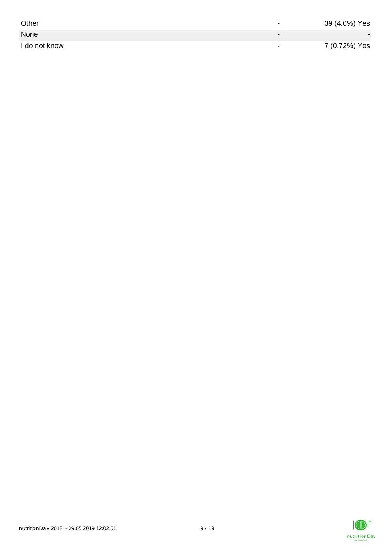| Other         | $\overline{\phantom{0}}$ | 39 (4.0%) Yes |
|---------------|--------------------------|---------------|
| None          |                          |               |
| I do not know | $\,$                     | 7 (0.72%) Yes |

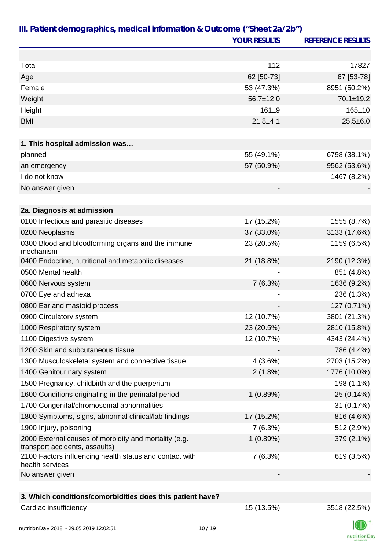|                                                                                         | <b>YOUR RESULTS</b> | <b>REFERENCE RESULTS</b> |
|-----------------------------------------------------------------------------------------|---------------------|--------------------------|
|                                                                                         |                     |                          |
| Total                                                                                   | 112                 | 17827                    |
| Age                                                                                     | 62 [50-73]          | 67 [53-78]               |
| Female                                                                                  | 53 (47.3%)          | 8951 (50.2%)             |
| Weight                                                                                  | $56.7 \pm 12.0$     | $70.1 \pm 19.2$          |
| Height                                                                                  | $161 + 9$           | $165 + 10$               |
| <b>BMI</b>                                                                              | $21.8 + 4.1$        | $25.5 \pm 6.0$           |
|                                                                                         |                     |                          |
| 1. This hospital admission was                                                          |                     |                          |
| planned                                                                                 | 55 (49.1%)          | 6798 (38.1%)             |
| an emergency                                                                            | 57 (50.9%)          | 9562 (53.6%)             |
| I do not know                                                                           |                     | 1467 (8.2%)              |
| No answer given                                                                         |                     |                          |
|                                                                                         |                     |                          |
| 2a. Diagnosis at admission                                                              |                     |                          |
| 0100 Infectious and parasitic diseases                                                  | 17 (15.2%)          | 1555 (8.7%)              |
| 0200 Neoplasms                                                                          | 37 (33.0%)          | 3133 (17.6%)             |
| 0300 Blood and bloodforming organs and the immune<br>mechanism                          | 23 (20.5%)          | 1159 (6.5%)              |
| 0400 Endocrine, nutritional and metabolic diseases                                      | 21 (18.8%)          | 2190 (12.3%)             |
| 0500 Mental health                                                                      |                     | 851 (4.8%)               |
| 0600 Nervous system                                                                     | 7(6.3%)             | 1636 (9.2%)              |
| 0700 Eye and adnexa                                                                     |                     | 236 (1.3%)               |
| 0800 Ear and mastoid process                                                            |                     | 127 (0.71%)              |
| 0900 Circulatory system                                                                 | 12 (10.7%)          | 3801 (21.3%)             |
| 1000 Respiratory system                                                                 | 23 (20.5%)          | 2810 (15.8%)             |
| 1100 Digestive system                                                                   | 12 (10.7%)          | 4343 (24.4%)             |
| 1200 Skin and subcutaneous tissue                                                       |                     | 786 (4.4%)               |
| 1300 Musculoskeletal system and connective tissue                                       | 4(3.6%)             | 2703 (15.2%)             |
| 1400 Genitourinary system                                                               | 2(1.8%)             | 1776 (10.0%)             |
| 1500 Pregnancy, childbirth and the puerperium                                           |                     | 198 (1.1%)               |
| 1600 Conditions originating in the perinatal period                                     | 1(0.89%)            | 25 (0.14%)               |
| 1700 Congenital/chromosomal abnormalities                                               |                     | 31 (0.17%)               |
| 1800 Symptoms, signs, abnormal clinical/lab findings                                    | 17 (15.2%)          | 816 (4.6%)               |
| 1900 Injury, poisoning                                                                  | 7(6.3%)             | 512 (2.9%)               |
| 2000 External causes of morbidity and mortality (e.g.<br>transport accidents, assaults) | 1(0.89%)            | 379 (2.1%)               |
| 2100 Factors influencing health status and contact with<br>health services              | 7(6.3%)             | 619 (3.5%)               |
| No answer given                                                                         |                     |                          |
|                                                                                         |                     |                          |
| 3. Which conditions/comorbidities does this patient have?                               |                     |                          |
| Cardiac insufficiency                                                                   | 15 (13.5%)          | 3518 (22.5%)             |

nutritionDay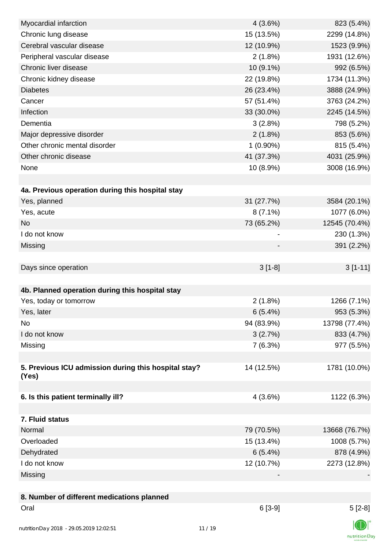| Myocardial infarction                                | 4(3.6%)     | 823 (5.4%)    |
|------------------------------------------------------|-------------|---------------|
| Chronic lung disease                                 | 15 (13.5%)  | 2299 (14.8%)  |
| Cerebral vascular disease                            | 12 (10.9%)  | 1523 (9.9%)   |
| Peripheral vascular disease                          | $2(1.8\%)$  | 1931 (12.6%)  |
| Chronic liver disease                                | 10 (9.1%)   | 992 (6.5%)    |
| Chronic kidney disease                               | 22 (19.8%)  | 1734 (11.3%)  |
| <b>Diabetes</b>                                      | 26 (23.4%)  | 3888 (24.9%)  |
| Cancer                                               | 57 (51.4%)  | 3763 (24.2%)  |
| Infection                                            | 33 (30.0%)  | 2245 (14.5%)  |
| Dementia                                             | 3(2.8%)     | 798 (5.2%)    |
| Major depressive disorder                            | $2(1.8\%)$  | 853 (5.6%)    |
| Other chronic mental disorder                        | $1(0.90\%)$ | 815 (5.4%)    |
| Other chronic disease                                | 41 (37.3%)  | 4031 (25.9%)  |
| None                                                 | 10 (8.9%)   | 3008 (16.9%)  |
|                                                      |             |               |
| 4a. Previous operation during this hospital stay     |             |               |
| Yes, planned                                         | 31 (27.7%)  | 3584 (20.1%)  |
| Yes, acute                                           | $8(7.1\%)$  | 1077 (6.0%)   |
| <b>No</b>                                            | 73 (65.2%)  | 12545 (70.4%) |
| I do not know                                        |             | 230 (1.3%)    |
| Missing                                              |             | 391 (2.2%)    |
|                                                      |             |               |
| Days since operation                                 | $3[1-8]$    | $3[1-11]$     |
|                                                      |             |               |
| 4b. Planned operation during this hospital stay      |             |               |
| Yes, today or tomorrow                               | $2(1.8\%)$  | 1266 (7.1%)   |
| Yes, later                                           | 6(5.4%)     | 953 (5.3%)    |
| No                                                   | 94 (83.9%)  | 13798 (77.4%) |
| I do not know                                        | 3(2.7%)     | 833 (4.7%)    |
| Missing                                              | 7(6.3%)     | 977 (5.5%)    |
|                                                      |             |               |
| 5. Previous ICU admission during this hospital stay? | 14 (12.5%)  | 1781 (10.0%)  |
| (Yes)                                                |             |               |
|                                                      |             |               |
| 6. Is this patient terminally ill?                   | 4(3.6%)     | 1122 (6.3%)   |
|                                                      |             |               |
| 7. Fluid status                                      |             |               |
| Normal                                               | 79 (70.5%)  | 13668 (76.7%) |
| Overloaded                                           | 15 (13.4%)  | 1008 (5.7%)   |
| Dehydrated                                           | 6(5.4%)     | 878 (4.9%)    |
| I do not know                                        | 12 (10.7%)  | 2273 (12.8%)  |
| Missing                                              |             |               |
|                                                      |             |               |
| 8. Number of different medications planned           |             |               |
| Oral                                                 | $6[3-9]$    | $5[2-8]$      |
|                                                      |             |               |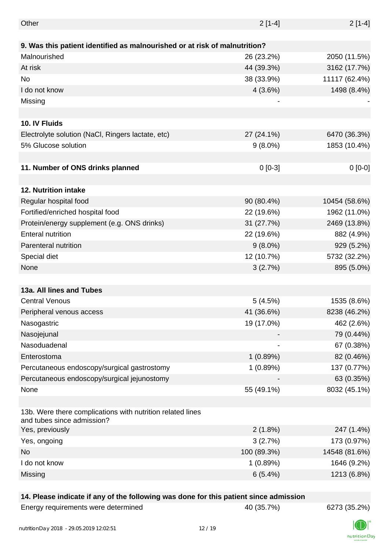| Other                                                                                    | $2[1-4]$    | $2[1-4]$      |
|------------------------------------------------------------------------------------------|-------------|---------------|
|                                                                                          |             |               |
| 9. Was this patient identified as malnourished or at risk of malnutrition?               |             |               |
| Malnourished                                                                             | 26 (23.2%)  | 2050 (11.5%)  |
| At risk                                                                                  | 44 (39.3%)  | 3162 (17.7%)  |
| <b>No</b>                                                                                | 38 (33.9%)  | 11117 (62.4%) |
| I do not know                                                                            | 4(3.6%)     | 1498 (8.4%)   |
| Missing                                                                                  |             |               |
|                                                                                          |             |               |
| 10. IV Fluids                                                                            |             |               |
| Electrolyte solution (NaCl, Ringers lactate, etc)                                        | 27 (24.1%)  | 6470 (36.3%)  |
| 5% Glucose solution                                                                      | $9(8.0\%)$  | 1853 (10.4%)  |
|                                                                                          |             |               |
| 11. Number of ONS drinks planned                                                         | $0[0-3]$    | $0[0-0]$      |
|                                                                                          |             |               |
| 12. Nutrition intake                                                                     |             |               |
| Regular hospital food                                                                    | 90 (80.4%)  | 10454 (58.6%) |
| Fortified/enriched hospital food                                                         | 22 (19.6%)  | 1962 (11.0%)  |
| Protein/energy supplement (e.g. ONS drinks)                                              | 31 (27.7%)  | 2469 (13.8%)  |
| <b>Enteral nutrition</b>                                                                 | 22 (19.6%)  | 882 (4.9%)    |
| Parenteral nutrition                                                                     | $9(8.0\%)$  | 929 (5.2%)    |
| Special diet                                                                             | 12 (10.7%)  | 5732 (32.2%)  |
| None                                                                                     | 3(2.7%)     | 895 (5.0%)    |
|                                                                                          |             |               |
| 13a. All lines and Tubes                                                                 |             |               |
| <b>Central Venous</b>                                                                    | 5(4.5%)     | 1535 (8.6%)   |
| Peripheral venous access                                                                 | 41 (36.6%)  | 8238 (46.2%)  |
| Nasogastric                                                                              | 19 (17.0%)  | 462 (2.6%)    |
| Nasojejunal                                                                              |             | 79 (0.44%)    |
| Nasoduadenal                                                                             |             | 67 (0.38%)    |
| Enterostoma                                                                              | 1(0.89%)    | 82 (0.46%)    |
| Percutaneous endoscopy/surgical gastrostomy                                              | 1(0.89%)    | 137 (0.77%)   |
| Percutaneous endoscopy/surgical jejunostomy                                              |             | 63 (0.35%)    |
| None                                                                                     | 55 (49.1%)  | 8032 (45.1%)  |
|                                                                                          |             |               |
| 13b. Were there complications with nutrition related lines<br>and tubes since admission? |             |               |
| Yes, previously                                                                          | 2(1.8%)     | 247 (1.4%)    |
| Yes, ongoing                                                                             | 3(2.7%)     | 173 (0.97%)   |
| <b>No</b>                                                                                | 100 (89.3%) | 14548 (81.6%) |
| I do not know                                                                            | 1(0.89%)    | 1646 (9.2%)   |
| Missing                                                                                  | 6(5.4%)     | 1213 (6.8%)   |
|                                                                                          |             |               |

#### **14. Please indicate if any of the following was done for this patient since admission**

Energy requirements were determined 40 (35.7%) 6273 (35.2%)

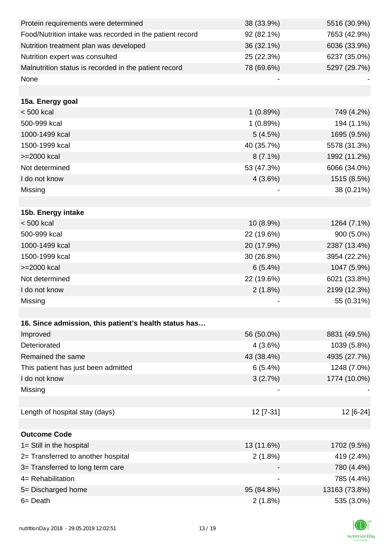| Protein requirements were determined                     | 38 (33.9%)                   | 5516 (30.9%)  |
|----------------------------------------------------------|------------------------------|---------------|
| Food/Nutrition intake was recorded in the patient record | 92 (82.1%)                   | 7653 (42.9%)  |
| Nutrition treatment plan was developed                   | 36 (32.1%)                   | 6036 (33.9%)  |
| Nutrition expert was consulted                           | 25 (22.3%)                   | 6237 (35.0%)  |
| Malnutrition status is recorded in the patient record    | 78 (69.6%)                   | 5297 (29.7%)  |
| None                                                     |                              |               |
|                                                          |                              |               |
| 15a. Energy goal                                         |                              |               |
| $< 500$ kcal                                             | 1(0.89%)                     | 749 (4.2%)    |
| 500-999 kcal                                             | 1(0.89%)                     | 194 (1.1%)    |
| 1000-1499 kcal                                           | 5(4.5%)                      | 1695 (9.5%)   |
| 1500-1999 kcal                                           | 40 (35.7%)                   | 5578 (31.3%)  |
| >=2000 kcal                                              | $8(7.1\%)$                   | 1992 (11.2%)  |
| Not determined                                           | 53 (47.3%)                   | 6066 (34.0%)  |
| I do not know                                            | 4(3.6%)                      | 1515 (8.5%)   |
| Missing                                                  |                              | 38 (0.21%)    |
|                                                          |                              |               |
| 15b. Energy intake                                       |                              |               |
| $< 500$ kcal                                             | $10(8.9\%)$                  | 1264 (7.1%)   |
| 500-999 kcal                                             | 22 (19.6%)                   | 900 (5.0%)    |
| 1000-1499 kcal                                           | 20 (17.9%)                   | 2387 (13.4%)  |
| 1500-1999 kcal                                           | 30(26.8%)                    | 3954 (22.2%)  |
| >=2000 kcal                                              | 6(5.4%)                      | 1047 (5.9%)   |
| Not determined                                           | 22 (19.6%)                   | 6021 (33.8%)  |
| I do not know                                            | 2(1.8%)                      | 2199 (12.3%)  |
| Missing                                                  |                              | 55 (0.31%)    |
|                                                          |                              |               |
| 16. Since admission, this patient's health status has    |                              |               |
| Improved                                                 | 56 (50.0%)                   | 8831 (49.5%)  |
| Deteriorated                                             | 4(3.6%)                      | 1039 (5.8%)   |
| Remained the same                                        | 43 (38.4%)                   | 4935 (27.7%)  |
| This patient has just been admitted                      | 6(5.4%)                      | 1248 (7.0%)   |
| I do not know                                            | 3(2.7%)                      | 1774 (10.0%)  |
| Missing                                                  |                              |               |
|                                                          |                              |               |
| Length of hospital stay (days)                           | 12 [7-31]                    | 12 [6-24]     |
|                                                          |                              |               |
| <b>Outcome Code</b>                                      |                              |               |
| 1= Still in the hospital                                 | 13 (11.6%)                   | 1702 (9.5%)   |
| 2= Transferred to another hospital                       | 2(1.8%)                      | 419 (2.4%)    |
| 3= Transferred to long term care                         |                              | 780 (4.4%)    |
| 4= Rehabilitation                                        | $\qquad \qquad \blacksquare$ | 785 (4.4%)    |
| 5= Discharged home                                       | 95 (84.8%)                   | 13163 (73.8%) |
| 6= Death                                                 | 2(1.8%)                      | 535 (3.0%)    |

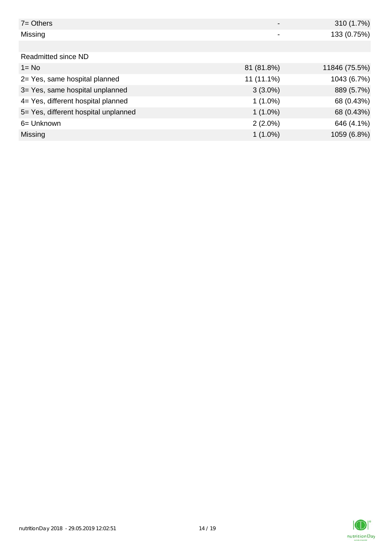| $7 =$ Others                         |              | 310 (1.7%)    |
|--------------------------------------|--------------|---------------|
| Missing                              |              | 133 (0.75%)   |
|                                      |              |               |
| Readmitted since ND                  |              |               |
| $1 = No$                             | 81 (81.8%)   | 11846 (75.5%) |
| 2= Yes, same hospital planned        | $11(11.1\%)$ | 1043 (6.7%)   |
| 3= Yes, same hospital unplanned      | $3(3.0\%)$   | 889 (5.7%)    |
| 4= Yes, different hospital planned   | $1(1.0\%)$   | 68 (0.43%)    |
| 5= Yes, different hospital unplanned | $1(1.0\%)$   | 68 (0.43%)    |
| 6= Unknown                           | $2(2.0\%)$   | 646 (4.1%)    |
| <b>Missing</b>                       | $1(1.0\%)$   | 1059 (6.8%)   |

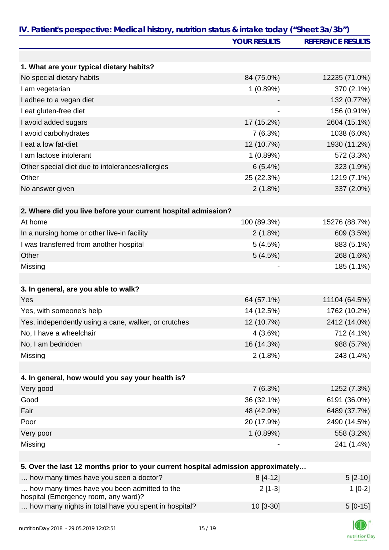|                                                                                   | <b>YOUR RESULTS</b> | <b>REFERENCE RESULTS</b> |
|-----------------------------------------------------------------------------------|---------------------|--------------------------|
|                                                                                   |                     |                          |
| 1. What are your typical dietary habits?                                          |                     |                          |
| No special dietary habits                                                         | 84 (75.0%)          | 12235 (71.0%)            |
| I am vegetarian                                                                   | 1(0.89%)            | 370 (2.1%)               |
| I adhee to a vegan diet                                                           |                     | 132 (0.77%)              |
| I eat gluten-free diet                                                            |                     | 156 (0.91%)              |
| I avoid added sugars                                                              | 17 (15.2%)          | 2604 (15.1%)             |
| I avoid carbohydrates                                                             | 7(6.3%)             | 1038 (6.0%)              |
| I eat a low fat-diet                                                              | 12 (10.7%)          | 1930 (11.2%)             |
| I am lactose intolerant                                                           | 1(0.89%)            | 572 (3.3%)               |
| Other special diet due to intolerances/allergies                                  | 6(5.4%)             | 323 (1.9%)               |
| Other                                                                             | 25 (22.3%)          | 1219 (7.1%)              |
| No answer given                                                                   | 2(1.8%)             | 337 (2.0%)               |
|                                                                                   |                     |                          |
| 2. Where did you live before your current hospital admission?                     |                     |                          |
| At home                                                                           | 100 (89.3%)         | 15276 (88.7%)            |
| In a nursing home or other live-in facility                                       | 2(1.8%)             | 609 (3.5%)               |
| I was transferred from another hospital                                           | 5(4.5%)             | 883 (5.1%)               |
| Other                                                                             | 5(4.5%)             | 268 (1.6%)               |
| Missing                                                                           |                     | 185 (1.1%)               |
|                                                                                   |                     |                          |
| 3. In general, are you able to walk?                                              |                     |                          |
| Yes                                                                               | 64 (57.1%)          | 11104 (64.5%)            |
| Yes, with someone's help                                                          | 14 (12.5%)          | 1762 (10.2%)             |
| Yes, independently using a cane, walker, or crutches                              | 12 (10.7%)          | 2412 (14.0%)             |
| No, I have a wheelchair                                                           | 4(3.6%)             | 712 (4.1%)               |
| No, I am bedridden                                                                | 16 (14.3%)          | 988 (5.7%)               |
| Missing                                                                           | $2(1.8\%)$          | 243 (1.4%)               |
|                                                                                   |                     |                          |
| 4. In general, how would you say your health is?                                  |                     |                          |
| Very good                                                                         | 7(6.3%)             | 1252 (7.3%)              |
| Good                                                                              | 36 (32.1%)          | 6191 (36.0%)             |
| Fair                                                                              | 48 (42.9%)          | 6489 (37.7%)             |
| Poor                                                                              | 20 (17.9%)          | 2490 (14.5%)             |
| Very poor                                                                         | 1(0.89%)            | 558 (3.2%)               |
| Missing                                                                           |                     | 241 (1.4%)               |
|                                                                                   |                     |                          |
| 5. Over the last 12 months prior to your current hospital admission approximately |                     |                          |
| how many times have you seen a doctor?                                            | $8[4-12]$           | $5[2-10]$                |
| how many times have you been admitted to the                                      | $2[1-3]$            | $1[0-2]$                 |

hospital (Emergency room, any ward)?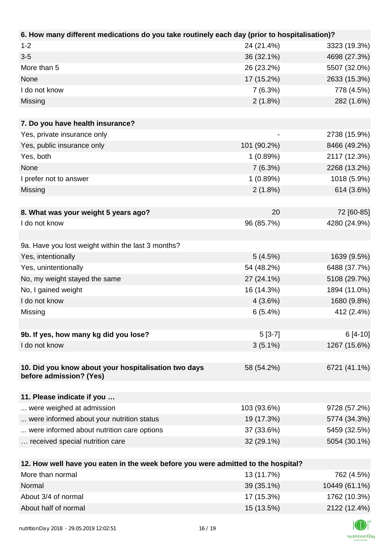| 6. How many different medications do you take routinely each day (prior to hospitalisation)?          |             |               |
|-------------------------------------------------------------------------------------------------------|-------------|---------------|
| $1 - 2$                                                                                               | 24 (21.4%)  | 3323 (19.3%)  |
| $3 - 5$                                                                                               | 36 (32.1%)  | 4698 (27.3%)  |
| More than 5                                                                                           | 26 (23.2%)  | 5507 (32.0%)  |
| None                                                                                                  | 17 (15.2%)  | 2633 (15.3%)  |
| I do not know                                                                                         | 7(6.3%)     | 778 (4.5%)    |
| Missing                                                                                               | 2(1.8%)     | 282 (1.6%)    |
|                                                                                                       |             |               |
| 7. Do you have health insurance?                                                                      |             |               |
| Yes, private insurance only                                                                           |             | 2738 (15.9%)  |
| Yes, public insurance only                                                                            | 101 (90.2%) | 8466 (49.2%)  |
| Yes, both                                                                                             | 1(0.89%)    | 2117 (12.3%)  |
| None                                                                                                  | 7(6.3%)     | 2268 (13.2%)  |
| I prefer not to answer                                                                                | 1(0.89%)    | 1018 (5.9%)   |
| Missing                                                                                               | 2(1.8%)     | 614 (3.6%)    |
|                                                                                                       |             |               |
| 8. What was your weight 5 years ago?                                                                  | 20          | 72 [60-85]    |
| I do not know                                                                                         | 96 (85.7%)  | 4280 (24.9%)  |
|                                                                                                       |             |               |
| 9a. Have you lost weight within the last 3 months?                                                    |             |               |
| Yes, intentionally                                                                                    | 5(4.5%)     | 1639 (9.5%)   |
| Yes, unintentionally                                                                                  | 54 (48.2%)  | 6488 (37.7%)  |
| No, my weight stayed the same                                                                         | 27 (24.1%)  | 5108 (29.7%)  |
| No, I gained weight                                                                                   | 16 (14.3%)  | 1894 (11.0%)  |
| I do not know                                                                                         | 4(3.6%)     | 1680 (9.8%)   |
| Missing                                                                                               | 6(5.4%)     | 412 (2.4%)    |
|                                                                                                       |             |               |
| 9b. If yes, how many kg did you lose?                                                                 | $5[3-7]$    | $6[4-10]$     |
| I do not know                                                                                         | $3(5.1\%)$  | 1267 (15.6%)  |
|                                                                                                       |             |               |
| 10. Did you know about your hospitalisation two days                                                  | 58 (54.2%)  | 6721 (41.1%)  |
| before admission? (Yes)                                                                               |             |               |
|                                                                                                       |             |               |
| 11. Please indicate if you                                                                            |             |               |
| were weighed at admission                                                                             | 103 (93.6%) | 9728 (57.2%)  |
| were informed about your nutrition status                                                             | 19 (17.3%)  | 5774 (34.3%)  |
| were informed about nutrition care options                                                            | 37 (33.6%)  | 5459 (32.5%)  |
| received special nutrition care                                                                       | 32 (29.1%)  | 5054 (30.1%)  |
|                                                                                                       |             |               |
| 12. How well have you eaten in the week before you were admitted to the hospital?<br>More than normal |             |               |
|                                                                                                       | 13 (11.7%)  | 762 (4.5%)    |
| Normal                                                                                                | 39 (35.1%)  | 10449 (61.1%) |
| About 3/4 of normal                                                                                   | 17 (15.3%)  | 1762 (10.3%)  |

About half of normal 2122 (12.4%)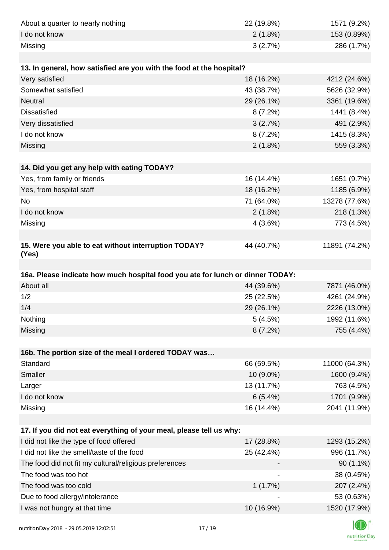| About a quarter to nearly nothing                                              | 22 (19.8%) | 1571 (9.2%)                |
|--------------------------------------------------------------------------------|------------|----------------------------|
| I do not know                                                                  | 2(1.8%)    | 153 (0.89%)                |
| Missing                                                                        | 3(2.7%)    | 286 (1.7%)                 |
|                                                                                |            |                            |
| 13. In general, how satisfied are you with the food at the hospital?           |            |                            |
| Very satisfied                                                                 | 18 (16.2%) | 4212 (24.6%)               |
| Somewhat satisfied                                                             | 43 (38.7%) | 5626 (32.9%)               |
| <b>Neutral</b>                                                                 | 29 (26.1%) | 3361 (19.6%)               |
| <b>Dissatisfied</b>                                                            | 8(7.2%)    | 1441 (8.4%)                |
| Very dissatisfied                                                              | 3(2.7%)    | 491 (2.9%)                 |
| I do not know                                                                  | 8(7.2%)    | 1415 (8.3%)                |
| Missing                                                                        | $2(1.8\%)$ | 559 (3.3%)                 |
|                                                                                |            |                            |
| 14. Did you get any help with eating TODAY?                                    |            |                            |
| Yes, from family or friends                                                    | 16 (14.4%) | 1651 (9.7%)                |
| Yes, from hospital staff                                                       | 18 (16.2%) | 1185 (6.9%)                |
| No                                                                             | 71 (64.0%) | 13278 (77.6%)              |
| I do not know                                                                  | 2(1.8%)    | 218 (1.3%)                 |
| Missing                                                                        | 4(3.6%)    | 773 (4.5%)                 |
|                                                                                |            |                            |
| 15. Were you able to eat without interruption TODAY?<br>(Yes)                  | 44 (40.7%) | 11891 (74.2%)              |
|                                                                                |            |                            |
| 16a. Please indicate how much hospital food you ate for lunch or dinner TODAY: |            |                            |
| About all                                                                      | 44 (39.6%) | 7871 (46.0%)               |
| 1/2                                                                            | 25 (22.5%) | 4261 (24.9%)               |
| 1/4                                                                            | 29 (26.1%) |                            |
|                                                                                |            | 2226 (13.0%)               |
| Nothing                                                                        | 5(4.5%)    | 1992 (11.6%)               |
| Missing                                                                        | $8(7.2\%)$ | 755 (4.4%)                 |
|                                                                                |            |                            |
| 16b. The portion size of the meal I ordered TODAY was                          |            |                            |
| Standard                                                                       | 66 (59.5%) | 11000 (64.3%)              |
| Smaller                                                                        | 10 (9.0%)  | 1600 (9.4%)                |
| Larger                                                                         | 13 (11.7%) | 763 (4.5%)                 |
| I do not know                                                                  | 6(5.4%)    | 1701 (9.9%)                |
| Missing                                                                        | 16 (14.4%) | 2041 (11.9%)               |
|                                                                                |            |                            |
| 17. If you did not eat everything of your meal, please tell us why:            |            |                            |
| I did not like the type of food offered                                        | 17 (28.8%) | 1293 (15.2%)               |
| I did not like the smell/taste of the food                                     | 25 (42.4%) | 996 (11.7%)                |
| The food did not fit my cultural/religious preferences                         |            | $90(1.1\%)$                |
| The food was too hot                                                           |            | 38 (0.45%)                 |
| The food was too cold                                                          | 1(1.7%)    | 207 (2.4%)                 |
| Due to food allergy/intolerance<br>I was not hungry at that time               | 10 (16.9%) | 53 (0.63%)<br>1520 (17.9%) |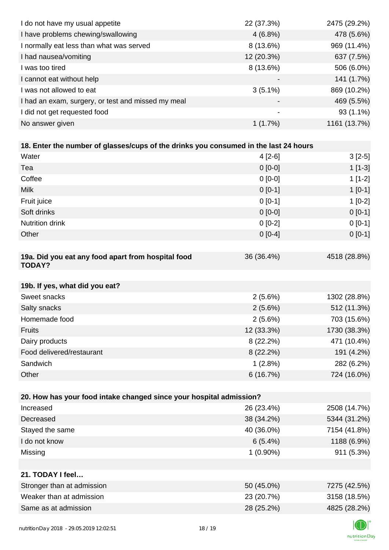| I do not have my usual appetite                                                      | 22 (37.3%)  | 2475 (29.2%) |
|--------------------------------------------------------------------------------------|-------------|--------------|
| I have problems chewing/swallowing                                                   | $4(6.8\%)$  | 478 (5.6%)   |
| I normally eat less than what was served                                             | $8(13.6\%)$ | 969 (11.4%)  |
| I had nausea/vomiting                                                                | 12 (20.3%)  | 637 (7.5%)   |
| I was too tired                                                                      | 8 (13.6%)   | 506 (6.0%)   |
| I cannot eat without help                                                            |             | 141 (1.7%)   |
| I was not allowed to eat                                                             | $3(5.1\%)$  | 869 (10.2%)  |
| I had an exam, surgery, or test and missed my meal                                   |             | 469 (5.5%)   |
| I did not get requested food                                                         |             | 93 (1.1%)    |
| No answer given                                                                      | 1(1.7%)     | 1161 (13.7%) |
|                                                                                      |             |              |
| 18. Enter the number of glasses/cups of the drinks you consumed in the last 24 hours |             |              |
| Water                                                                                | $4[2-6]$    | $3[2-5]$     |
| Tea                                                                                  | $0[0-0]$    | $1[1-3]$     |
| Coffee                                                                               | $0[0-0]$    | $1[1-2]$     |
| <b>Milk</b>                                                                          | $0[0-1]$    | $1[0-1]$     |
| Fruit juice                                                                          | $0[0-1]$    | $1[0-2]$     |
| Soft drinks                                                                          | $0[0-0]$    | $0 [0-1]$    |
| Nutrition drink                                                                      | $0[0-2]$    | $0 [0-1]$    |
| Other                                                                                | $0[0-4]$    | $0 [0-1]$    |
|                                                                                      |             |              |
| 19a. Did you eat any food apart from hospital food<br><b>TODAY?</b>                  | 36 (36.4%)  | 4518 (28.8%) |
| 19b. If yes, what did you eat?                                                       |             |              |
| Sweet snacks                                                                         | 2(5.6%)     | 1302 (28.8%) |
| Salty snacks                                                                         | $2(5.6\%)$  | 512 (11.3%)  |
| Homemade food                                                                        | 2(5.6%)     | 703 (15.6%)  |
| <b>Fruits</b>                                                                        | 12 (33.3%)  | 1730 (38.3%) |
| Dairy products                                                                       | 8 (22.2%)   | 471 (10.4%)  |
| Food delivered/restaurant                                                            | 8 (22.2%)   | 191 (4.2%)   |
| Sandwich                                                                             | 1(2.8%)     | 282 (6.2%)   |
| Other                                                                                | 6(16.7%)    | 724 (16.0%)  |
|                                                                                      |             |              |
| 20. How has your food intake changed since your hospital admission?                  |             |              |
| Increased                                                                            | 26 (23.4%)  | 2508 (14.7%) |
| Decreased                                                                            | 38 (34.2%)  | 5344 (31.2%) |
| Stayed the same                                                                      | 40 (36.0%)  | 7154 (41.8%) |
| I do not know                                                                        | 6(5.4%)     | 1188 (6.9%)  |
| Missing                                                                              | $1(0.90\%)$ | 911 (5.3%)   |
|                                                                                      |             |              |
| 21. TODAY I feel                                                                     |             |              |
| Stronger than at admission                                                           | 50 (45.0%)  | 7275 (42.5%) |
| Weaker than at admission                                                             | 23 (20.7%)  | 3158 (18.5%) |
| Same as at admission                                                                 | 28 (25.2%)  | 4825 (28.2%) |
|                                                                                      |             |              |